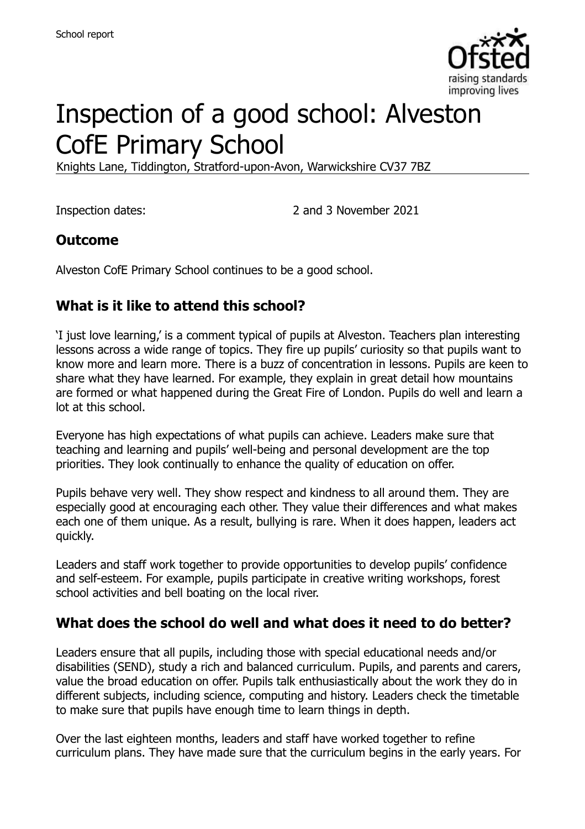

# Inspection of a good school: Alveston CofE Primary School

Knights Lane, Tiddington, Stratford-upon-Avon, Warwickshire CV37 7BZ

Inspection dates: 2 and 3 November 2021

#### **Outcome**

Alveston CofE Primary School continues to be a good school.

# **What is it like to attend this school?**

'I just love learning,' is a comment typical of pupils at Alveston. Teachers plan interesting lessons across a wide range of topics. They fire up pupils' curiosity so that pupils want to know more and learn more. There is a buzz of concentration in lessons. Pupils are keen to share what they have learned. For example, they explain in great detail how mountains are formed or what happened during the Great Fire of London. Pupils do well and learn a lot at this school.

Everyone has high expectations of what pupils can achieve. Leaders make sure that teaching and learning and pupils' well-being and personal development are the top priorities. They look continually to enhance the quality of education on offer.

Pupils behave very well. They show respect and kindness to all around them. They are especially good at encouraging each other. They value their differences and what makes each one of them unique. As a result, bullying is rare. When it does happen, leaders act quickly.

Leaders and staff work together to provide opportunities to develop pupils' confidence and self-esteem. For example, pupils participate in creative writing workshops, forest school activities and bell boating on the local river.

#### **What does the school do well and what does it need to do better?**

Leaders ensure that all pupils, including those with special educational needs and/or disabilities (SEND), study a rich and balanced curriculum. Pupils, and parents and carers, value the broad education on offer. Pupils talk enthusiastically about the work they do in different subjects, including science, computing and history. Leaders check the timetable to make sure that pupils have enough time to learn things in depth.

Over the last eighteen months, leaders and staff have worked together to refine curriculum plans. They have made sure that the curriculum begins in the early years. For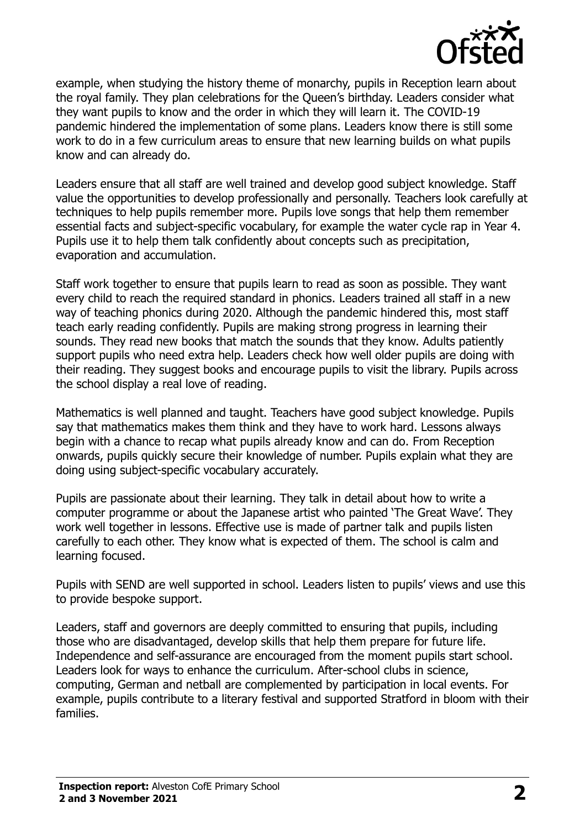

example, when studying the history theme of monarchy, pupils in Reception learn about the royal family. They plan celebrations for the Queen's birthday. Leaders consider what they want pupils to know and the order in which they will learn it. The COVID-19 pandemic hindered the implementation of some plans. Leaders know there is still some work to do in a few curriculum areas to ensure that new learning builds on what pupils know and can already do.

Leaders ensure that all staff are well trained and develop good subject knowledge. Staff value the opportunities to develop professionally and personally. Teachers look carefully at techniques to help pupils remember more. Pupils love songs that help them remember essential facts and subject-specific vocabulary, for example the water cycle rap in Year 4. Pupils use it to help them talk confidently about concepts such as precipitation, evaporation and accumulation.

Staff work together to ensure that pupils learn to read as soon as possible. They want every child to reach the required standard in phonics. Leaders trained all staff in a new way of teaching phonics during 2020. Although the pandemic hindered this, most staff teach early reading confidently. Pupils are making strong progress in learning their sounds. They read new books that match the sounds that they know. Adults patiently support pupils who need extra help. Leaders check how well older pupils are doing with their reading. They suggest books and encourage pupils to visit the library. Pupils across the school display a real love of reading.

Mathematics is well planned and taught. Teachers have good subject knowledge. Pupils say that mathematics makes them think and they have to work hard. Lessons always begin with a chance to recap what pupils already know and can do. From Reception onwards, pupils quickly secure their knowledge of number. Pupils explain what they are doing using subject-specific vocabulary accurately.

Pupils are passionate about their learning. They talk in detail about how to write a computer programme or about the Japanese artist who painted 'The Great Wave'. They work well together in lessons. Effective use is made of partner talk and pupils listen carefully to each other. They know what is expected of them. The school is calm and learning focused.

Pupils with SEND are well supported in school. Leaders listen to pupils' views and use this to provide bespoke support.

Leaders, staff and governors are deeply committed to ensuring that pupils, including those who are disadvantaged, develop skills that help them prepare for future life. Independence and self-assurance are encouraged from the moment pupils start school. Leaders look for ways to enhance the curriculum. After-school clubs in science, computing, German and netball are complemented by participation in local events. For example, pupils contribute to a literary festival and supported Stratford in bloom with their families.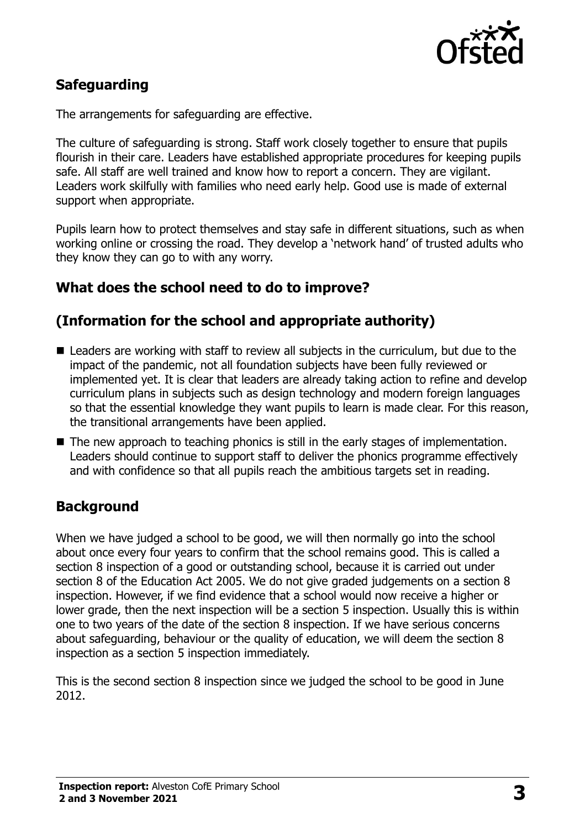

# **Safeguarding**

The arrangements for safeguarding are effective.

The culture of safeguarding is strong. Staff work closely together to ensure that pupils flourish in their care. Leaders have established appropriate procedures for keeping pupils safe. All staff are well trained and know how to report a concern. They are vigilant. Leaders work skilfully with families who need early help. Good use is made of external support when appropriate.

Pupils learn how to protect themselves and stay safe in different situations, such as when working online or crossing the road. They develop a 'network hand' of trusted adults who they know they can go to with any worry.

#### **What does the school need to do to improve?**

# **(Information for the school and appropriate authority)**

- Leaders are working with staff to review all subjects in the curriculum, but due to the impact of the pandemic, not all foundation subjects have been fully reviewed or implemented yet. It is clear that leaders are already taking action to refine and develop curriculum plans in subjects such as design technology and modern foreign languages so that the essential knowledge they want pupils to learn is made clear. For this reason, the transitional arrangements have been applied.
- The new approach to teaching phonics is still in the early stages of implementation. Leaders should continue to support staff to deliver the phonics programme effectively and with confidence so that all pupils reach the ambitious targets set in reading.

# **Background**

When we have judged a school to be good, we will then normally go into the school about once every four years to confirm that the school remains good. This is called a section 8 inspection of a good or outstanding school, because it is carried out under section 8 of the Education Act 2005. We do not give graded judgements on a section 8 inspection. However, if we find evidence that a school would now receive a higher or lower grade, then the next inspection will be a section 5 inspection. Usually this is within one to two years of the date of the section 8 inspection. If we have serious concerns about safeguarding, behaviour or the quality of education, we will deem the section 8 inspection as a section 5 inspection immediately.

This is the second section 8 inspection since we judged the school to be good in June 2012.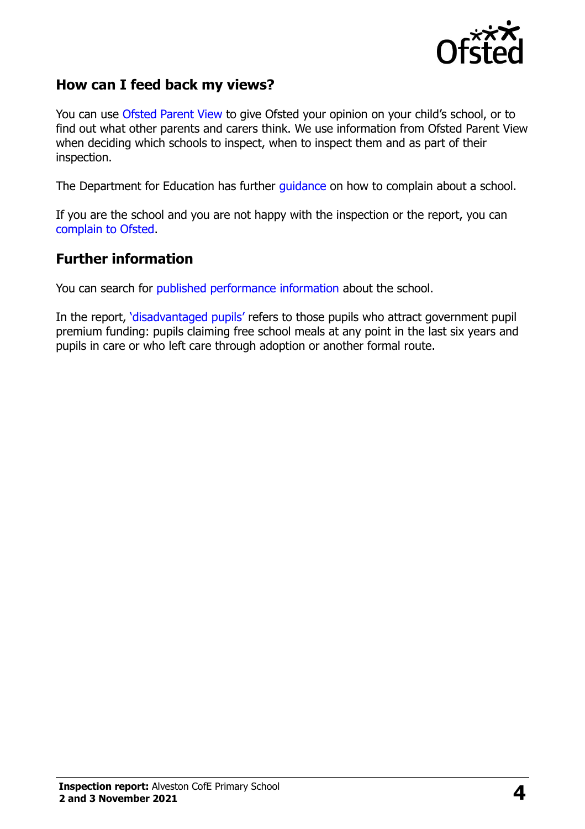

#### **How can I feed back my views?**

You can use [Ofsted Parent View](https://parentview.ofsted.gov.uk/) to give Ofsted your opinion on your child's school, or to find out what other parents and carers think. We use information from Ofsted Parent View when deciding which schools to inspect, when to inspect them and as part of their inspection.

The Department for Education has further [guidance](http://www.gov.uk/complain-about-school) on how to complain about a school.

If you are the school and you are not happy with the inspection or the report, you can [complain to Ofsted.](https://www.gov.uk/complain-ofsted-report)

#### **Further information**

You can search for [published performance information](http://www.compare-school-performance.service.gov.uk/) about the school.

In the report, '[disadvantaged pupils](http://www.gov.uk/guidance/pupil-premium-information-for-schools-and-alternative-provision-settings)' refers to those pupils who attract government pupil premium funding: pupils claiming free school meals at any point in the last six years and pupils in care or who left care through adoption or another formal route.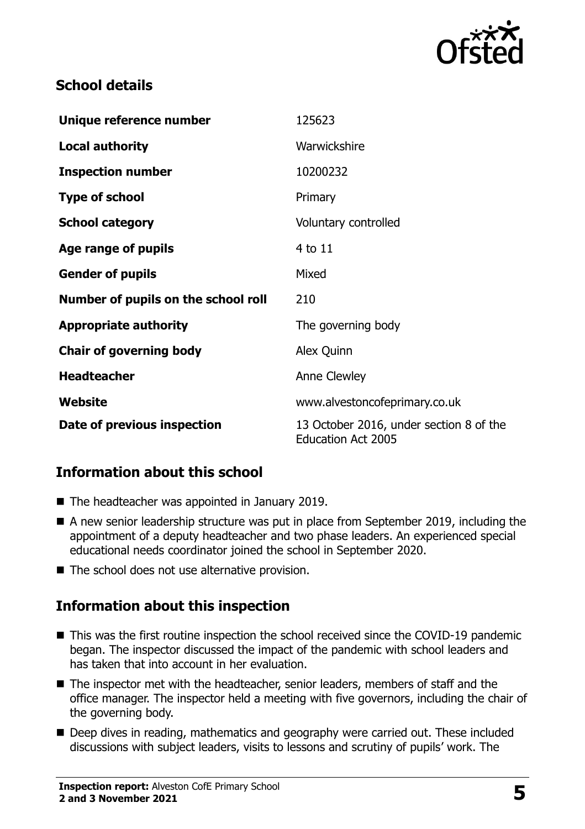

# **School details**

| Unique reference number             | 125623                                                               |
|-------------------------------------|----------------------------------------------------------------------|
| <b>Local authority</b>              | Warwickshire                                                         |
| <b>Inspection number</b>            | 10200232                                                             |
| <b>Type of school</b>               | Primary                                                              |
| <b>School category</b>              | Voluntary controlled                                                 |
| Age range of pupils                 | 4 to 11                                                              |
| <b>Gender of pupils</b>             | Mixed                                                                |
| Number of pupils on the school roll | 210                                                                  |
| <b>Appropriate authority</b>        | The governing body                                                   |
| <b>Chair of governing body</b>      | Alex Quinn                                                           |
| <b>Headteacher</b>                  | Anne Clewley                                                         |
| Website                             | www.alvestoncofeprimary.co.uk                                        |
| Date of previous inspection         | 13 October 2016, under section 8 of the<br><b>Education Act 2005</b> |

# **Information about this school**

- The headteacher was appointed in January 2019.
- A new senior leadership structure was put in place from September 2019, including the appointment of a deputy headteacher and two phase leaders. An experienced special educational needs coordinator joined the school in September 2020.
- The school does not use alternative provision.

# **Information about this inspection**

- This was the first routine inspection the school received since the COVID-19 pandemic began. The inspector discussed the impact of the pandemic with school leaders and has taken that into account in her evaluation.
- The inspector met with the headteacher, senior leaders, members of staff and the office manager. The inspector held a meeting with five governors, including the chair of the governing body.
- Deep dives in reading, mathematics and geography were carried out. These included discussions with subject leaders, visits to lessons and scrutiny of pupils' work. The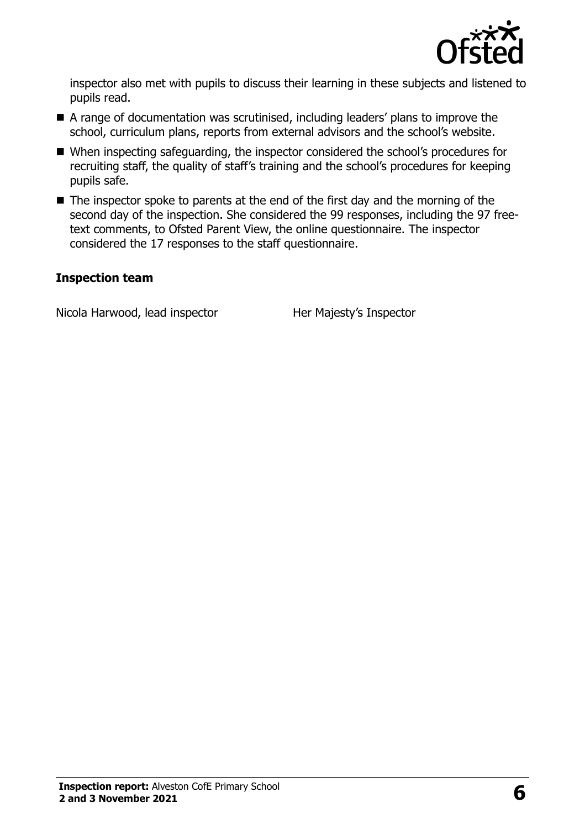

inspector also met with pupils to discuss their learning in these subjects and listened to pupils read.

- A range of documentation was scrutinised, including leaders' plans to improve the school, curriculum plans, reports from external advisors and the school's website.
- When inspecting safeguarding, the inspector considered the school's procedures for recruiting staff, the quality of staff's training and the school's procedures for keeping pupils safe.
- $\blacksquare$  The inspector spoke to parents at the end of the first day and the morning of the second day of the inspection. She considered the 99 responses, including the 97 freetext comments, to Ofsted Parent View, the online questionnaire. The inspector considered the 17 responses to the staff questionnaire.

#### **Inspection team**

Nicola Harwood, lead inspector Her Majesty's Inspector